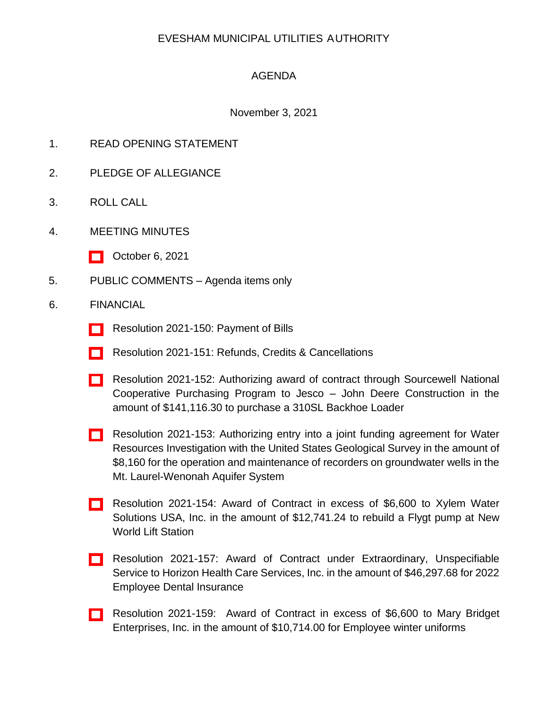## EVESHAM MUNICIPAL UTILITIES AUTHORITY

## AGENDA

## November 3, 2021

- 1. READ OPENING STATEMENT
- 2. PLEDGE OF ALLEGIANCE
- 3. ROLL CALL
- 4. MEETING MINUTES
	- [\[ \]](http://www.eveshammua.com/wp-content/uploads/2021/11/10-6-21-Meeting-minutes.pdf) October 6, 2021
- 5. PUBLIC COMMENTS Agenda items only
- 6. FINANCIAL
	- [\[ \]](http://www.eveshammua.com/wp-content/uploads/2021/10/Resolution-2021-150-October-Bill-List.pdf) Resolution 2021-150: Payment of Bills
	- [] Resolution 2021-151: Refunds, Credits & Cancellations
	- [\[ \]](http://www.eveshammua.com/wp-content/uploads/2021/10/Resolution-2021-152-Sourcewell-Jesco.pdf) Resolution 2021-152: Authorizing award of contract through Sourcewell National Cooperative Purchasing Program to Jesco – John Deere Construction in the amount of \$141,116.30 to purchase a 310SL Backhoe Loader
	- [\[ \]](http://www.eveshammua.com/wp-content/uploads/2021/10/Resolution-2021-153-USGS-Joint-Funding-.pdf) Resolution 2021-153: Authorizing entry into a joint funding agreement for Water Resources Investigation with the United States Geological Survey in the amount of \$8,160 for the operation and maintenance of recorders on groundwater wells in the Mt. Laurel-Wenonah Aquifer System
	- [\[ \]](http://www.eveshammua.com/wp-content/uploads/2021/10/Resolution-2021-154-Xylem-Water-Solutions-USA-Inc.pdf) Resolution 2021-154: Award of Contract in excess of \$6,600 to Xylem Water Solutions USA, Inc. in the amount of \$12,741.24 to rebuild a Flygt pump at New World Lift Station
	- [\[ \]](http://www.eveshammua.com/wp-content/uploads/2021/10/Resolution-2021-157-Horizon-Dental.pdf) Resolution 2021-157: Award of Contract under Extraordinary, Unspecifiable Service to Horizon Health Care Services, Inc. in the amount of \$46,297.68 for 2022 Employee Dental Insurance
	- [\[ \]](http://www.eveshammua.com/wp-content/uploads/2021/10/Resolution-2021-159-Mary-Bridget-Enterprises.pdf) Resolution 2021-159: Award of Contract in excess of \$6,600 to Mary Bridget Enterprises, Inc. in the amount of \$10,714.00 for Employee winter uniforms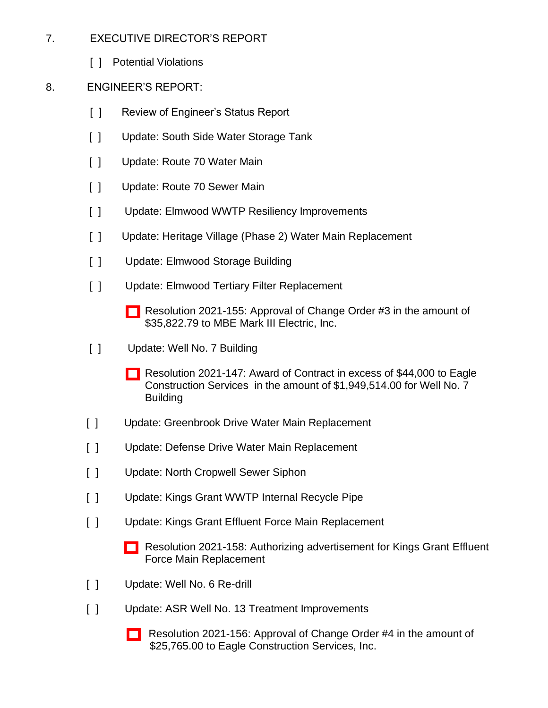- 7. EXECUTIVE DIRECTOR'S REPORT
	- [ ] Potential Violations
- 8. ENGINEER'S REPORT:
	- [ ] Review of Engineer's Status Report
	- [ ] Update: South Side Water Storage Tank
	- [ ] Update: Route 70 Water Main
	- [ ] Update: Route 70 Sewer Main
	- [ ] Update: Elmwood WWTP Resiliency Improvements
	- [ ] Update: Heritage Village (Phase 2) Water Main Replacement
	- [ ] Update: Elmwood Storage Building
	- [ ] Update: Elmwood Tertiary Filter Replacement
		- [\[ \]](http://www.eveshammua.com/wp-content/uploads/2021/10/Resolution-2021-155-MBE-Mark-III-Change-Order-3.pdf) Resolution 2021-155: Approval of Change Order #3 in the amount of \$35,822.79 to MBE Mark III Electric, Inc.
	- [ ] Update: Well No. 7 Building
		- [] Resolution 2021-147: Award of Contract in excess of \$44,000 to Eagle Construction Services in the amount of \$1,949,514.00 for Well No. 7 Building
	- [ ] Update: Greenbrook Drive Water Main Replacement
	- [ ] Update: Defense Drive Water Main Replacement
	- [ ] Update: North Cropwell Sewer Siphon
	- [ ] Update: Kings Grant WWTP Internal Recycle Pipe
	- [ ] Update: Kings Grant Effluent Force Main Replacement
		- [\[ \]](http://www.eveshammua.com/wp-content/uploads/2021/10/Resolution-2021-158-Authorize-advertisement-for-Bids-KG-Effluent-.pdf) Resolution 2021-158: Authorizing advertisement for Kings Grant Effluent Force Main Replacement
	- [ ] Update: Well No. 6 Re-drill
	- [ ] Update: ASR Well No. 13 Treatment Improvements
		- [\[ \]](http://www.eveshammua.com/wp-content/uploads/2021/10/Resolution-2021-156-ASR-Well-No.-13-Change-order4.pdf) Resolution 2021-156: Approval of Change Order #4 in the amount of \$25,765.00 to Eagle Construction Services, Inc.